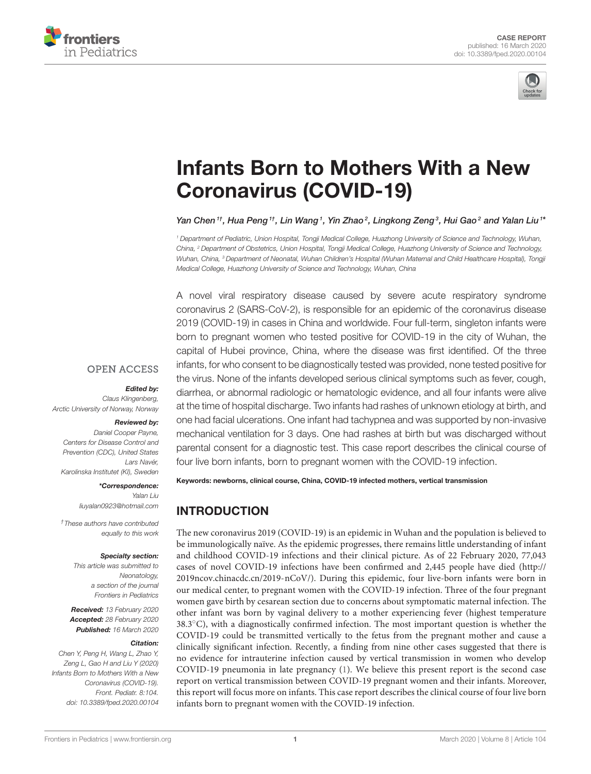



# [Infants Born to Mothers With a New](https://www.frontiersin.org/articles/10.3389/fped.2020.00104/full) Coronavirus (COVID-19)

[Yan Chen](http://loop.frontiersin.org/people/925030/overview)  $^{\dagger\dagger}$ , Hua Peng  $^{\dagger\dagger}$ , Lin Wang  $^{\dagger}$ , Yin Zhao  $^2$ , Lingkong Zeng  $^3$ , Hui Gao  $^2$  and [Yalan Liu](http://loop.frontiersin.org/people/908479/overview)  $^{\dagger\ast}$ 

<sup>1</sup> Department of Pediatric, Union Hospital, Tongji Medical College, Huazhong University of Science and Technology, Wuhan, China, <sup>2</sup> Department of Obstetrics, Union Hospital, Tongji Medical College, Huazhong University of Science and Technology, Wuhan, China, <sup>3</sup> Department of Neonatal, Wuhan Children's Hospital (Wuhan Maternal and Child Healthcare Hospital), Tongji Medical College, Huazhong University of Science and Technology, Wuhan, China

A novel viral respiratory disease caused by severe acute respiratory syndrome coronavirus 2 (SARS-CoV-2), is responsible for an epidemic of the coronavirus disease 2019 (COVID-19) in cases in China and worldwide. Four full-term, singleton infants were born to pregnant women who tested positive for COVID-19 in the city of Wuhan, the capital of Hubei province, China, where the disease was first identified. Of the three infants, for who consent to be diagnostically tested was provided, none tested positive for the virus. None of the infants developed serious clinical symptoms such as fever, cough, diarrhea, or abnormal radiologic or hematologic evidence, and all four infants were alive at the time of hospital discharge. Two infants had rashes of unknown etiology at birth, and one had facial ulcerations. One infant had tachypnea and was supported by non-invasive mechanical ventilation for 3 days. One had rashes at birth but was discharged without parental consent for a diagnostic test. This case report describes the clinical course of four live born infants, born to pregnant women with the COVID-19 infection.

#### **OPEN ACCESS**

#### Edited by:

Claus Klingenberg, Arctic University of Norway, Norway

#### Reviewed by:

Daniel Cooper Payne, Centers for Disease Control and Prevention (CDC), United States Lars Navér, Karolinska Institutet (KI), Sweden

> \*Correspondence: Yalan Liu

[liuyalan0923@hotmail.com](mailto:liuyalan0923@hotmail.com)

†These authors have contributed equally to this work

#### Specialty section:

This article was submitted to Neonatology, a section of the journal Frontiers in Pediatrics

Received: 13 February 2020 Accepted: 28 February 2020 Published: 16 March 2020

#### Citation:

Chen Y, Peng H, Wang L, Zhao Y, Zeng L, Gao H and Liu Y (2020) Infants Born to Mothers With a New Coronavirus (COVID-19). Front. Pediatr. 8:104. doi: [10.3389/fped.2020.00104](https://doi.org/10.3389/fped.2020.00104) Keywords: newborns, clinical course, China, COVID-19 infected mothers, vertical transmission

# INTRODUCTION

The new coronavirus 2019 (COVID-19) is an epidemic in Wuhan and the population is believed to be immunologically naïve. As the epidemic progresses, there remains little understanding of infant and childhood COVID-19 infections and their clinical picture. As of 22 February 2020, 77,043 cases of novel COVID-19 infections have been confirmed and 2,445 people have died [\(http://](http://2019ncov.chinacdc.cn/2019-nCoV/) [2019ncov.chinacdc.cn/2019-nCoV/\)](http://2019ncov.chinacdc.cn/2019-nCoV/). During this epidemic, four live-born infants were born in our medical center, to pregnant women with the COVID-19 infection. Three of the four pregnant women gave birth by cesarean section due to concerns about symptomatic maternal infection. The other infant was born by vaginal delivery to a mother experiencing fever (highest temperature 38.3◦C), with a diagnostically confirmed infection. The most important question is whether the COVID-19 could be transmitted vertically to the fetus from the pregnant mother and cause a clinically significant infection. Recently, a finding from nine other cases suggested that there is no evidence for intrauterine infection caused by vertical transmission in women who develop COVID-19 pneumonia in late pregnancy [\(1\)](#page-3-0). We believe this present report is the second case report on vertical transmission between COVID-19 pregnant women and their infants. Moreover, this report will focus more on infants. This case report describes the clinical course of four live born infants born to pregnant women with the COVID-19 infection.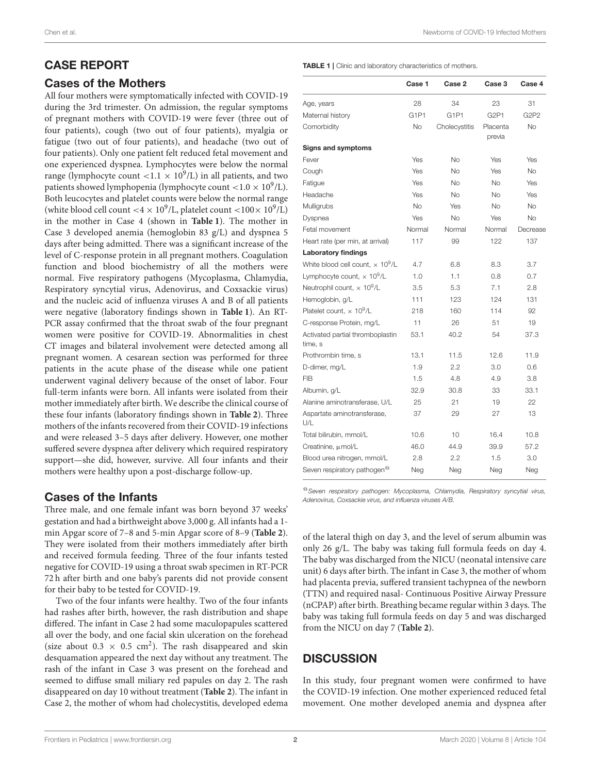# CASE REPORT

#### Cases of the Mothers

All four mothers were symptomatically infected with COVID-19 during the 3rd trimester. On admission, the regular symptoms of pregnant mothers with COVID-19 were fever (three out of four patients), cough (two out of four patients), myalgia or fatigue (two out of four patients), and headache (two out of four patients). Only one patient felt reduced fetal movement and one experienced dyspnea. Lymphocytes were below the normal range (lymphocyte count <1.1  $\times$  10<sup>9</sup>/L) in all patients, and two patients showed lymphopenia (lymphocyte count  $<$  1.0  $\times$  10<sup>9</sup>/L). Both leucocytes and platelet counts were below the normal range (white blood cell count <4  $\times$  10<sup>9</sup>/L, platelet count <100 $\times$  10<sup>9</sup>/L) in the mother in Case 4 (shown in **[Table 1](#page-1-0)**). The mother in Case 3 developed anemia (hemoglobin 83 g/L) and dyspnea 5 days after being admitted. There was a significant increase of the level of C-response protein in all pregnant mothers. Coagulation function and blood biochemistry of all the mothers were normal. Five respiratory pathogens (Mycoplasma, Chlamydia, Respiratory syncytial virus, Adenovirus, and Coxsackie virus) and the nucleic acid of influenza viruses A and B of all patients were negative (laboratory findings shown in **[Table 1](#page-1-0)**). An RT-PCR assay confirmed that the throat swab of the four pregnant women were positive for COVID-19. Abnormalities in chest CT images and bilateral involvement were detected among all pregnant women. A cesarean section was performed for three patients in the acute phase of the disease while one patient underwent vaginal delivery because of the onset of labor. Four full-term infants were born. All infants were isolated from their mother immediately after birth. We describe the clinical course of these four infants (laboratory findings shown in **[Table 2](#page-2-0)**). Three mothers of the infants recovered from their COVID-19 infections and were released 3–5 days after delivery. However, one mother suffered severe dyspnea after delivery which required respiratory support—she did, however, survive. All four infants and their mothers were healthy upon a post-discharge follow-up.

## Cases of the Infants

Three male, and one female infant was born beyond 37 weeks' gestation and had a birthweight above 3,000 g. All infants had a 1 min Apgar score of 7–8 and 5-min Apgar score of 8–9 (**[Table 2](#page-2-0)**). They were isolated from their mothers immediately after birth and received formula feeding. Three of the four infants tested negative for COVID-19 using a throat swab specimen in RT-PCR 72 h after birth and one baby's parents did not provide consent for their baby to be tested for COVID-19.

Two of the four infants were healthy. Two of the four infants had rashes after birth, however, the rash distribution and shape differed. The infant in Case 2 had some maculopapules scattered all over the body, and one facial skin ulceration on the forehead (size about 0.3  $\times$  0.5 cm<sup>2</sup>). The rash disappeared and skin desquamation appeared the next day without any treatment. The rash of the infant in Case 3 was present on the forehead and seemed to diffuse small miliary red papules on day 2. The rash disappeared on day 10 without treatment (**[Table 2](#page-2-0)**). The infant in Case 2, the mother of whom had cholecystitis, developed edema

<span id="page-1-0"></span>TABLE 1 | Clinic and laboratory characteristics of mothers.

|                                                     | Case 1                        | Case 2                        | Case 3                        | Case 4    |
|-----------------------------------------------------|-------------------------------|-------------------------------|-------------------------------|-----------|
| Age, years                                          | 28                            | 34                            | 23                            | 31        |
| Maternal history                                    | G <sub>1</sub> P <sub>1</sub> | G <sub>1</sub> P <sub>1</sub> | G <sub>2</sub> P <sub>1</sub> | G2P2      |
| Comorbidity                                         | <b>No</b>                     | Cholecystitis                 | Placenta<br>previa            | <b>No</b> |
| Signs and symptoms                                  |                               |                               |                               |           |
| Fever                                               | Yes                           | <b>No</b>                     | Yes                           | Yes       |
| Cough                                               | Yes                           | No                            | Yes                           | <b>No</b> |
| Fatigue                                             | Yes                           | <b>No</b>                     | <b>No</b>                     | Yes       |
| Headache                                            | Yes                           | No                            | No                            | Yes       |
| Mulligrubs                                          | <b>No</b>                     | Yes                           | No                            | No        |
| Dyspnea                                             | Yes                           | <b>No</b>                     | Yes                           | <b>No</b> |
| Fetal movement                                      | Normal                        | Normal                        | Normal                        | Decrease  |
| Heart rate (per min, at arrival)                    | 117                           | 99                            | 122                           | 137       |
| <b>Laboratory findings</b>                          |                               |                               |                               |           |
| White blood cell count, $\times$ 10 <sup>9</sup> /L | 4.7                           | 6.8                           | 8.3                           | 3.7       |
| Lymphocyte count, $\times 10^9$ /L                  | 1.0                           | 1.1                           | 0.8                           | 0.7       |
| Neutrophil count, $\times$ 10 <sup>9</sup> /L       | 3.5                           | 5.3                           | 7.1                           | 2.8       |
| Hemoglobin, g/L                                     | 111                           | 123                           | 124                           | 131       |
| Platelet count. $\times$ 10 <sup>9</sup> /L         | 218                           | 160                           | 114                           | 92        |
| C-response Protein, mg/L                            | 11                            | 26                            | 51                            | 19        |
| Activated partial thromboplastin<br>time. s         | 53.1                          | 40.2                          | 54                            | 37.3      |
| Prothrombin time, s                                 | 13.1                          | 11.5                          | 12.6                          | 11.9      |
| D-dimer, mg/L                                       | 1.9                           | 2.2                           | 3.0                           | 0.6       |
| <b>FIB</b>                                          | 1.5                           | 4.8                           | 4.9                           | 3.8       |
| Albumin, g/L                                        | 32.9                          | 30.8                          | 33                            | 33.1      |
| Alanine aminotransferase, U/L                       | 25                            | 21                            | 19                            | 22        |
| Aspartate aminotransferase,<br>U/L                  | 37                            | 29                            | 27                            | 13        |
| Total bilirubin, mmol/L                             | 10.6                          | 10                            | 16.4                          | 10.8      |
| Creatinine, $\mu$ mol/L                             | 46.0                          | 44.9                          | 39.9                          | 57.2      |
| Blood urea nitrogen, mmol/L                         | 2.8                           | 2.2                           | 1.5                           | 3.0       |
| Seven respiratory pathogen <sup>@</sup>             | Neg                           | Neg                           | Neg                           | Neg       |
|                                                     |                               |                               |                               |           |

<sup>@</sup>Seven respiratory pathogen: Mycoplasma, Chlamydia, Respiratory syncytial virus, Adenovirus, Coxsackie virus, and influenza viruses A/B.

of the lateral thigh on day 3, and the level of serum albumin was only 26 g/L. The baby was taking full formula feeds on day 4. The baby was discharged from the NICU (neonatal intensive care unit) 6 days after birth. The infant in Case 3, the mother of whom had placenta previa, suffered transient tachypnea of the newborn (TTN) and required nasal- Continuous Positive Airway Pressure (nCPAP) after birth. Breathing became regular within 3 days. The baby was taking full formula feeds on day 5 and was discharged from the NICU on day 7 (**[Table 2](#page-2-0)**).

# **DISCUSSION**

In this study, four pregnant women were confirmed to have the COVID-19 infection. One mother experienced reduced fetal movement. One mother developed anemia and dyspnea after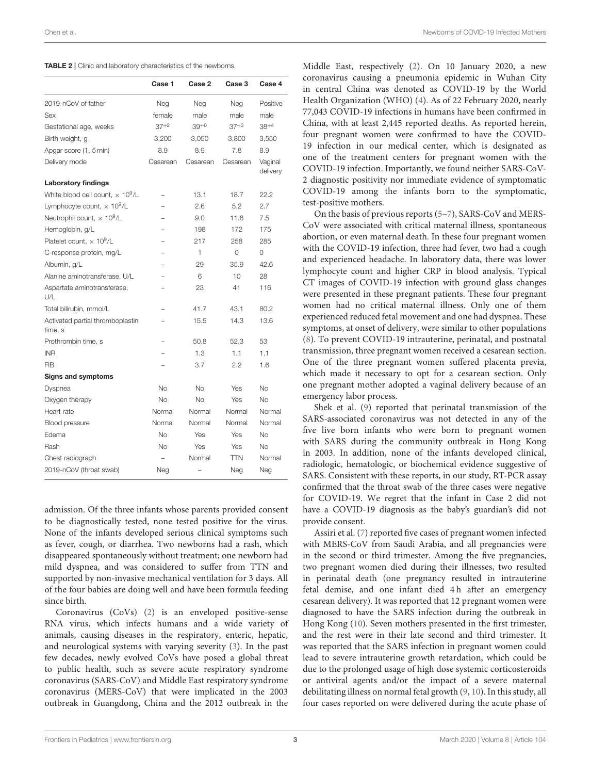<span id="page-2-0"></span>

| TABLE 2   Clinic and laboratory characteristics of the newborns. |
|------------------------------------------------------------------|
|------------------------------------------------------------------|

|                                                     | Case 1                   | Case 2    | Case 3     | Case 4              |
|-----------------------------------------------------|--------------------------|-----------|------------|---------------------|
| 2019-nCoV of father                                 | Neg                      | Neg       | Neg        | Positive            |
| Sex                                                 | female                   | male      | male       | male                |
| Gestational age, weeks                              | $37+2$                   | $39^{+0}$ | $37+3$     | $38^{+4}$           |
| Birth weight, g                                     | 3,200                    | 3,050     | 3,800      | 3,550               |
| Apgar score (1, 5 min)                              | 8.9                      | 8.9       | 7.8        | 8.9                 |
| Delivery mode                                       | Cesarean                 | Cesarean  | Cesarean   | Vaqinal<br>delivery |
| Laboratory findings                                 |                          |           |            |                     |
| White blood cell count, $\times$ 10 <sup>9</sup> /L | $\overline{\phantom{0}}$ | 13.1      | 18.7       | 22.2                |
| Lymphocyte count, $\times 10^9$ /L                  |                          | 2.6       | 5.2        | 2.7                 |
| Neutrophil count, $\times$ 10 <sup>9</sup> /L       |                          | 9.0       | 11.6       | 7.5                 |
| Hemoglobin, g/L                                     |                          | 198       | 172        | 175                 |
| Platelet count, $\times$ 10 <sup>9</sup> /L         |                          | 217       | 258        | 285                 |
| C-response protein, mg/L                            |                          | 1         | $\Omega$   | 0                   |
| Albumin, g/L                                        |                          | 29        | 35.9       | 42.6                |
| Alanine aminotransferase, U/L                       |                          | 6         | 10         | 28                  |
| Aspartate aminotransferase,<br>U/L                  |                          | 23        | 41         | 116                 |
| Total bilirubin, mmol/L                             |                          | 41.7      | 43.1       | 80.2                |
| Activated partial thromboplastin<br>time. s         |                          | 15.5      | 14.3       | 13.6                |
| Prothrombin time, s                                 |                          | 50.8      | 52.3       | 53                  |
| <b>INR</b>                                          |                          | 1.3       | 1.1        | 1.1                 |
| <b>FIB</b>                                          |                          | 3.7       | 2.2        | 1.6                 |
| Signs and symptoms                                  |                          |           |            |                     |
| Dyspnea                                             | <b>No</b>                | <b>No</b> | Yes        | <b>No</b>           |
| Oxygen therapy                                      | <b>No</b>                | No        | Yes        | No                  |
| Heart rate                                          | Normal                   | Normal    | Normal     | Normal              |
| Blood pressure                                      | Normal                   | Normal    | Normal     | Normal              |
| Edema                                               | No                       | Yes       | Yes        | No                  |
| Rash                                                | No                       | Yes       | Yes        | No                  |
| Chest radiograph                                    |                          | Normal    | <b>TTN</b> | Normal              |
| 2019-nCoV (throat swab)                             | Neg                      |           | Neg        | Neg                 |

admission. Of the three infants whose parents provided consent to be diagnostically tested, none tested positive for the virus. None of the infants developed serious clinical symptoms such as fever, cough, or diarrhea. Two newborns had a rash, which disappeared spontaneously without treatment; one newborn had mild dyspnea, and was considered to suffer from TTN and supported by non-invasive mechanical ventilation for 3 days. All of the four babies are doing well and have been formula feeding since birth.

Coronavirus (CoVs) [\(2\)](#page-3-1) is an enveloped positive-sense RNA virus, which infects humans and a wide variety of animals, causing diseases in the respiratory, enteric, hepatic, and neurological systems with varying severity [\(3\)](#page-3-2). In the past few decades, newly evolved CoVs have posed a global threat to public health, such as severe acute respiratory syndrome coronavirus (SARS-CoV) and Middle East respiratory syndrome coronavirus (MERS-CoV) that were implicated in the 2003 outbreak in Guangdong, China and the 2012 outbreak in the

Middle East, respectively [\(2\)](#page-3-1). On 10 January 2020, a new coronavirus causing a pneumonia epidemic in Wuhan City in central China was denoted as COVID-19 by the World Health Organization (WHO) [\(4\)](#page-3-3). As of 22 February 2020, nearly 77,043 COVID-19 infections in humans have been confirmed in China, with at least 2,445 reported deaths. As reported herein, four pregnant women were confirmed to have the COVID-19 infection in our medical center, which is designated as one of the treatment centers for pregnant women with the COVID-19 infection. Importantly, we found neither SARS-CoV-2 diagnostic positivity nor immediate evidence of symptomatic COVID-19 among the infants born to the symptomatic, test-positive mothers.

On the basis of previous reports [\(5–](#page-3-4)[7\)](#page-3-5), SARS-CoV and MERS-CoV were associated with critical maternal illness, spontaneous abortion, or even maternal death. In these four pregnant women with the COVID-19 infection, three had fever, two had a cough and experienced headache. In laboratory data, there was lower lymphocyte count and higher CRP in blood analysis. Typical CT images of COVID-19 infection with ground glass changes were presented in these pregnant patients. These four pregnant women had no critical maternal illness. Only one of them experienced reduced fetal movement and one had dyspnea. These symptoms, at onset of delivery, were similar to other populations [\(8\)](#page-3-6). To prevent COVID-19 intrauterine, perinatal, and postnatal transmission, three pregnant women received a cesarean section. One of the three pregnant women suffered placenta previa, which made it necessary to opt for a cesarean section. Only one pregnant mother adopted a vaginal delivery because of an emergency labor process.

Shek et al. [\(9\)](#page-3-7) reported that perinatal transmission of the SARS-associated coronavirus was not detected in any of the five live born infants who were born to pregnant women with SARS during the community outbreak in Hong Kong in 2003. In addition, none of the infants developed clinical, radiologic, hematologic, or biochemical evidence suggestive of SARS. Consistent with these reports, in our study, RT-PCR assay confirmed that the throat swab of the three cases were negative for COVID-19. We regret that the infant in Case 2 did not have a COVID-19 diagnosis as the baby's guardian's did not provide consent.

Assiri et al. [\(7\)](#page-3-5) reported five cases of pregnant women infected with MERS-CoV from Saudi Arabia, and all pregnancies were in the second or third trimester. Among the five pregnancies, two pregnant women died during their illnesses, two resulted in perinatal death (one pregnancy resulted in intrauterine fetal demise, and one infant died 4h after an emergency cesarean delivery). It was reported that 12 pregnant women were diagnosed to have the SARS infection during the outbreak in Hong Kong [\(10\)](#page-3-8). Seven mothers presented in the first trimester, and the rest were in their late second and third trimester. It was reported that the SARS infection in pregnant women could lead to severe intrauterine growth retardation, which could be due to the prolonged usage of high dose systemic corticosteroids or antiviral agents and/or the impact of a severe maternal debilitating illness on normal fetal growth [\(9,](#page-3-7) [10\)](#page-3-8). In this study, all four cases reported on were delivered during the acute phase of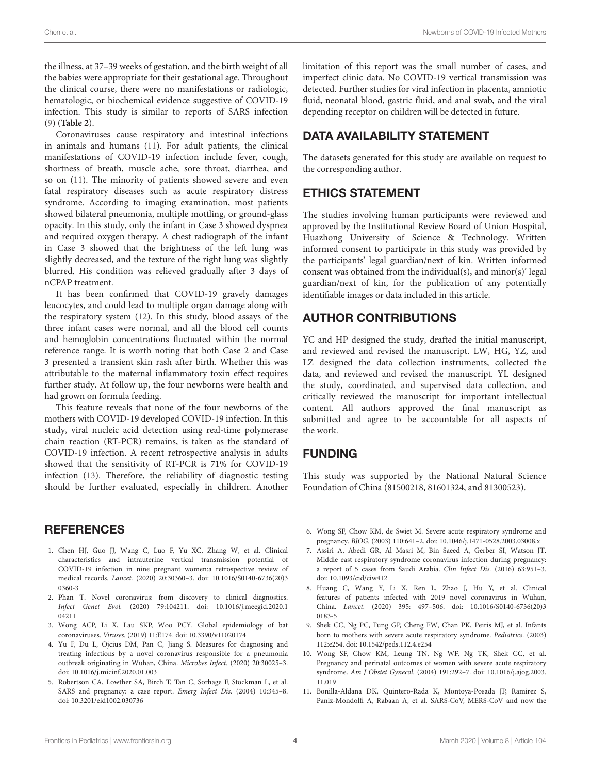the illness, at 37–39 weeks of gestation, and the birth weight of all the babies were appropriate for their gestational age. Throughout the clinical course, there were no manifestations or radiologic, hematologic, or biochemical evidence suggestive of COVID-19 infection. This study is similar to reports of SARS infection [\(9\)](#page-3-7) (**[Table 2](#page-2-0)**).

Coronaviruses cause respiratory and intestinal infections in animals and humans [\(11\)](#page-3-9). For adult patients, the clinical manifestations of COVID-19 infection include fever, cough, shortness of breath, muscle ache, sore throat, diarrhea, and so on [\(11\)](#page-3-9). The minority of patients showed severe and even fatal respiratory diseases such as acute respiratory distress syndrome. According to imaging examination, most patients showed bilateral pneumonia, multiple mottling, or ground-glass opacity. In this study, only the infant in Case 3 showed dyspnea and required oxygen therapy. A chest radiograph of the infant in Case 3 showed that the brightness of the left lung was slightly decreased, and the texture of the right lung was slightly blurred. His condition was relieved gradually after 3 days of nCPAP treatment.

It has been confirmed that COVID-19 gravely damages leucocytes, and could lead to multiple organ damage along with the respiratory system [\(12\)](#page-4-0). In this study, blood assays of the three infant cases were normal, and all the blood cell counts and hemoglobin concentrations fluctuated within the normal reference range. It is worth noting that both Case 2 and Case 3 presented a transient skin rash after birth. Whether this was attributable to the maternal inflammatory toxin effect requires further study. At follow up, the four newborns were health and had grown on formula feeding.

This feature reveals that none of the four newborns of the mothers with COVID-19 developed COVID-19 infection. In this study, viral nucleic acid detection using real-time polymerase chain reaction (RT-PCR) remains, is taken as the standard of COVID-19 infection. A recent retrospective analysis in adults showed that the sensitivity of RT-PCR is 71% for COVID-19 infection [\(13\)](#page-4-1). Therefore, the reliability of diagnostic testing should be further evaluated, especially in children. Another

#### **REFERENCES**

- <span id="page-3-0"></span>1. Chen HJ, Guo JJ, Wang C, Luo F, Yu XC, Zhang W, et al. Clinical characteristics and intrauterine vertical transmission potential of COVID-19 infection in nine pregnant women:a retrospective review of medical records. Lancet. [\(2020\) 20:30360–3. doi: 10.1016/S0140-6736\(20\)3](https://doi.org/10.1016/S0140-6736(20)30360-3) 0360-3
- <span id="page-3-1"></span>2. Phan T. Novel coronavirus: from discovery to clinical diagnostics. Infect Genet Evol. [\(2020\) 79:104211. doi: 10.1016/j.meegid.2020.1](https://doi.org/10.1016/j.meegid.2020.104211) 04211
- <span id="page-3-2"></span>3. Wong ACP, Li X, Lau SKP, Woo PCY. Global epidemiology of bat coronaviruses. Viruses. (2019) 11:E174. doi: [10.3390/v11020174](https://doi.org/10.3390/v11020174)
- <span id="page-3-3"></span>4. Yu F, Du L, Ojcius DM, Pan C, Jiang S. Measures for diagnosing and treating infections by a novel coronavirus responsible for a pneumonia outbreak originating in Wuhan, China. Microbes Infect. (2020) 20:30025–3. doi: [10.1016/j.micinf.2020.01.003](https://doi.org/10.1016/j.micinf.2020.01.003)
- <span id="page-3-4"></span>5. Robertson CA, Lowther SA, Birch T, Tan C, Sorhage F, Stockman L, et al. SARS and pregnancy: a case report. Emerg Infect Dis. (2004) 10:345–8. doi: [10.3201/eid1002.030736](https://doi.org/10.3201/eid1002.030736)

limitation of this report was the small number of cases, and imperfect clinic data. No COVID-19 vertical transmission was detected. Further studies for viral infection in placenta, amniotic fluid, neonatal blood, gastric fluid, and anal swab, and the viral depending receptor on children will be detected in future.

### DATA AVAILABILITY STATEMENT

The datasets generated for this study are available on request to the corresponding author.

### ETHICS STATEMENT

The studies involving human participants were reviewed and approved by the Institutional Review Board of Union Hospital, Huazhong University of Science & Technology. Written informed consent to participate in this study was provided by the participants' legal guardian/next of kin. Written informed consent was obtained from the individual(s), and minor(s)' legal guardian/next of kin, for the publication of any potentially identifiable images or data included in this article.

## AUTHOR CONTRIBUTIONS

YC and HP designed the study, drafted the initial manuscript, and reviewed and revised the manuscript. LW, HG, YZ, and LZ designed the data collection instruments, collected the data, and reviewed and revised the manuscript. YL designed the study, coordinated, and supervised data collection, and critically reviewed the manuscript for important intellectual content. All authors approved the final manuscript as submitted and agree to be accountable for all aspects of the work.

## FUNDING

This study was supported by the National Natural Science Foundation of China (81500218, 81601324, and 81300523).

- 6. Wong SF, Chow KM, de Swiet M. Severe acute respiratory syndrome and pregnancy. BJOG. (2003) 110:641–2. doi: [10.1046/j.1471-0528.2003.03008.x](https://doi.org/10.1046/j.1471-0528.2003.03008.x)
- <span id="page-3-5"></span>7. Assiri A, Abedi GR, Al Masri M, Bin Saeed A, Gerber SI, Watson JT. Middle east respiratory syndrome coronavirus infection during pregnancy: a report of 5 cases from Saudi Arabia. Clin Infect Dis. (2016) 63:951–3. doi: [10.1093/cid/ciw412](https://doi.org/10.1093/cid/ciw412)
- <span id="page-3-6"></span>8. Huang C, Wang Y, Li X, Ren L, Zhao J, Hu Y, et al. Clinical features of patients infected with 2019 novel coronavirus in Wuhan, China. Lancet. [\(2020\) 395: 497–506. doi: 10.1016/S0140-6736\(20\)3](https://doi.org/10.1016/S0140-6736(20)30183-5) 0183-5
- <span id="page-3-7"></span>9. Shek CC, Ng PC, Fung GP, Cheng FW, Chan PK, Peiris MJ, et al. Infants born to mothers with severe acute respiratory syndrome. Pediatrics. (2003) 112:e254. doi: [10.1542/peds.112.4.e254](https://doi.org/10.1542/peds.112.4.e254)
- <span id="page-3-8"></span>10. Wong SF, Chow KM, Leung TN, Ng WF, Ng TK, Shek CC, et al. Pregnancy and perinatal outcomes of women with severe acute respiratory syndrome. Am J Obstet Gynecol. [\(2004\) 191:292–7. doi: 10.1016/j.ajog.2003.](https://doi.org/10.1016/j.ajog.2003.11.019) 11.019
- <span id="page-3-9"></span>11. Bonilla-Aldana DK, Quintero-Rada K, Montoya-Posada JP, Ramirez S, Paniz-Mondolfi A, Rabaan A, et al. SARS-CoV, MERS-CoV and now the